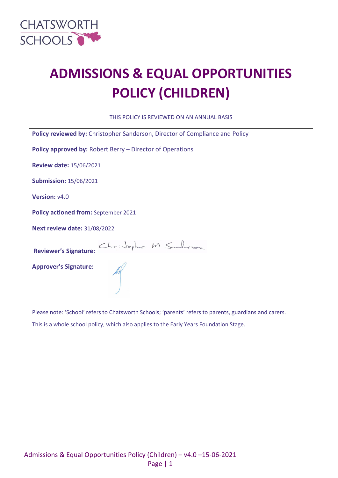

# **ADMISSIONS & EQUAL OPPORTUNITIES POLICY (CHILDREN)**

THIS POLICY IS REVIEWED ON AN ANNUAL BASIS

| Policy reviewed by: Christopher Sanderson, Director of Compliance and Policy |  |  |  |  |
|------------------------------------------------------------------------------|--|--|--|--|
| <b>Policy approved by: Robert Berry – Director of Operations</b>             |  |  |  |  |
| <b>Review date: 15/06/2021</b>                                               |  |  |  |  |
| <b>Submission: 15/06/2021</b>                                                |  |  |  |  |
| Version: v4.0                                                                |  |  |  |  |
| Policy actioned from: September 2021                                         |  |  |  |  |
| <b>Next review date: 31/08/2022</b>                                          |  |  |  |  |
| Christopher M Sanderson.<br><b>Reviewer's Signature:</b>                     |  |  |  |  |
| <b>Approver's Signature:</b>                                                 |  |  |  |  |

Please note: 'School' refers to Chatsworth Schools; 'parents' refers to parents, guardians and carers.

This is a whole school policy, which also applies to the Early Years Foundation Stage.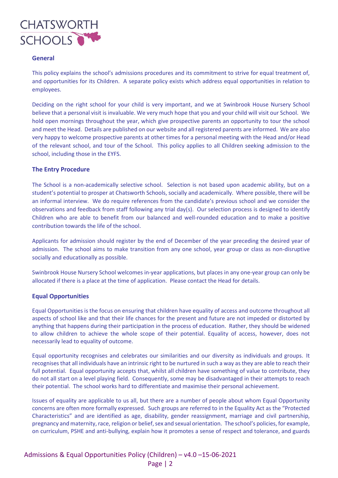

# **General**

This policy explains the school's admissions procedures and its commitment to strive for equal treatment of, and opportunities for its Children. A separate policy exists which address equal opportunities in relation to employees.

Deciding on the right school for your child is very important, and we at Swinbrook House Nursery School believe that a personal visit is invaluable. We very much hope that you and your child will visit our School. We hold open mornings throughout the year, which give prospective parents an opportunity to tour the school and meet the Head. Details are published on our website and all registered parents are informed. We are also very happy to welcome prospective parents at other times for a personal meeting with the Head and/or Head of the relevant school, and tour of the School. This policy applies to all Children seeking admission to the school, including those in the EYFS.

# **The Entry Procedure**

The School is a non-academically selective school. Selection is not based upon academic ability, but on a student's potential to prosper at Chatsworth Schools, socially and academically. Where possible, there will be an informal interview. We do require references from the candidate's previous school and we consider the observations and feedback from staff following any trial day(s). Our selection process is designed to identify Children who are able to benefit from our balanced and well-rounded education and to make a positive contribution towards the life of the school.

Applicants for admission should register by the end of December of the year preceding the desired year of admission. The school aims to make transition from any one school, year group or class as non-disruptive socially and educationally as possible.

Swinbrook House Nursery School welcomes in-year applications, but places in any one-year group can only be allocated if there is a place at the time of application. Please contact the Head for details.

#### **Equal Opportunities**

Equal Opportunities is the focus on ensuring that children have equality of access and outcome throughout all aspects of school like and that their life chances for the present and future are not impeded or distorted by anything that happens during their participation in the process of education. Rather, they should be widened to allow children to achieve the whole scope of their potential. Equality of access, however, does not necessarily lead to equality of outcome.

Equal opportunity recognises and celebrates our similarities and our diversity as individuals and groups. It recognises that all individuals have an intrinsic right to be nurtured in such a way as they are able to reach their full potential. Equal opportunity accepts that, whilst all children have something of value to contribute, they do not all start on a level playing field. Consequently, some may be disadvantaged in their attempts to reach their potential. The school works hard to differentiate and maximise their personal achievement.

Issues of equality are applicable to us all, but there are a number of people about whom Equal Opportunity concerns are often more formally expressed. Such groups are referred to in the Equality Act as the "Protected Characteristics" and are identified as age, disability, gender reassignment, marriage and civil partnership, pregnancy and maternity, race, religion or belief, sex and sexual orientation. The school's policies, for example, on curriculum, PSHE and anti-bullying, explain how it promotes a sense of respect and tolerance, and guards

Admissions & Equal Opportunities Policy (Children) – v4.0 –15-06-2021 Page | 2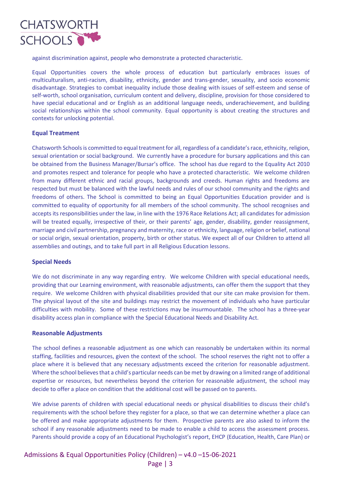

against discrimination against, people who demonstrate a protected characteristic.

Equal Opportunities covers the whole process of education but particularly embraces issues of multiculturalism, anti-racism, disability, ethnicity, gender and trans-gender, sexuality, and socio economic disadvantage. Strategies to combat inequality include those dealing with issues of self-esteem and sense of self-worth, school organisation, curriculum content and delivery, discipline, provision for those considered to have special educational and or English as an additional language needs, underachievement, and building social relationships within the school community. Equal opportunity is about creating the structures and contexts for unlocking potential.

# **Equal Treatment**

Chatsworth Schoolsis committed to equal treatment for all, regardless of a candidate's race, ethnicity, religion, sexual orientation or social background. We currently have a procedure for bursary applications and this can be obtained from the Business Manager/Bursar's office. The school has due regard to the Equality Act 2010 and promotes respect and tolerance for people who have a protected characteristic. We welcome children from many different ethnic and racial groups, backgrounds and creeds. Human rights and freedoms are respected but must be balanced with the lawful needs and rules of our school community and the rights and freedoms of others. The School is committed to being an Equal Opportunities Education provider and is committed to equality of opportunity for all members of the school community. The school recognises and accepts its responsibilities under the law, in line with the 1976 Race Relations Act; all candidates for admission will be treated equally, irrespective of their, or their parents' age, gender, disability, gender reassignment, marriage and civil partnership, pregnancy and maternity, race or ethnicity, language, religion or belief, national or social origin, sexual orientation, property, birth or other status. We expect all of our Children to attend all assemblies and outings, and to take full part in all Religious Education lessons.

#### **Special Needs**

We do not discriminate in any way regarding entry. We welcome Children with special educational needs, providing that our Learning environment, with reasonable adjustments, can offer them the support that they require. We welcome Children with physical disabilities provided that our site can make provision for them. The physical layout of the site and buildings may restrict the movement of individuals who have particular difficulties with mobility. Some of these restrictions may be insurmountable. The school has a three-year disability access plan in compliance with the Special Educational Needs and Disability Act.

#### **Reasonable Adjustments**

The school defines a reasonable adjustment as one which can reasonably be undertaken within its normal staffing, facilities and resources, given the context of the school. The school reserves the right not to offer a place where it is believed that any necessary adjustments exceed the criterion for reasonable adjustment. Where the school believes that a child's particular needs can be met by drawing on a limited range of additional expertise or resources, but nevertheless beyond the criterion for reasonable adjustment, the school may decide to offer a place on condition that the additional cost will be passed on to parents.

We advise parents of children with special educational needs or physical disabilities to discuss their child's requirements with the school before they register for a place, so that we can determine whether a place can be offered and make appropriate adjustments for them. Prospective parents are also asked to inform the school if any reasonable adjustments need to be made to enable a child to access the assessment process. Parents should provide a copy of an Educational Psychologist's report, EHCP (Education, Health, Care Plan) or

Admissions & Equal Opportunities Policy (Children) – v4.0 –15-06-2021 Page | 3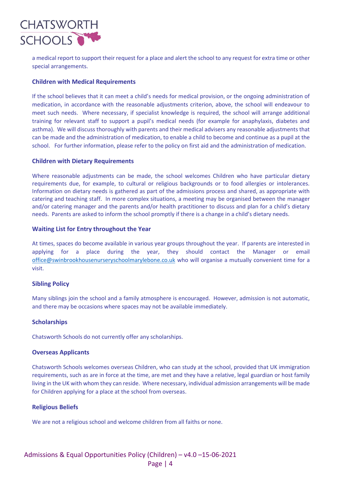

a medical report to support their request for a place and alert the school to any request for extra time or other special arrangements.

# **Children with Medical Requirements**

If the school believes that it can meet a child's needs for medical provision, or the ongoing administration of medication, in accordance with the reasonable adjustments criterion, above, the school will endeavour to meet such needs. Where necessary, if specialist knowledge is required, the school will arrange additional training for relevant staff to support a pupil's medical needs (for example for anaphylaxis, diabetes and asthma). We will discuss thoroughly with parents and their medical advisers any reasonable adjustments that can be made and the administration of medication, to enable a child to become and continue as a pupil at the school. For further information, please refer to the policy on first aid and the administration of medication.

# **Children with Dietary Requirements**

Where reasonable adjustments can be made, the school welcomes Children who have particular dietary requirements due, for example, to cultural or religious backgrounds or to food allergies or intolerances. Information on dietary needs is gathered as part of the admissions process and shared, as appropriate with catering and teaching staff. In more complex situations, a meeting may be organised between the manager and/or catering manager and the parents and/or health practitioner to discuss and plan for a child's dietary needs. Parents are asked to inform the school promptly if there is a change in a child's dietary needs.

# **Waiting List for Entry throughout the Year**

At times, spaces do become available in various year groups throughout the year. If parents are interested in applying for a place during the year, they should contact the Manager or email [office@swinbrookhousenurseryschoolmarylebone.co.uk](mailto:office@swinbrookhousenurseryschoolmarylebone.co.uk) who will organise a mutually convenient time for a visit.

# **Sibling Policy**

Many siblings join the school and a family atmosphere is encouraged. However, admission is not automatic, and there may be occasions where spaces may not be available immediately.

#### **Scholarships**

Chatsworth Schools do not currently offer any scholarships.

#### **Overseas Applicants**

Chatsworth Schools welcomes overseas Children, who can study at the school, provided that UK immigration requirements, such as are in force at the time, are met and they have a relative, legal guardian or host family living in the UK with whom they can reside. Where necessary, individual admission arrangements will be made for Children applying for a place at the school from overseas.

# **Religious Beliefs**

We are not a religious school and welcome children from all faiths or none.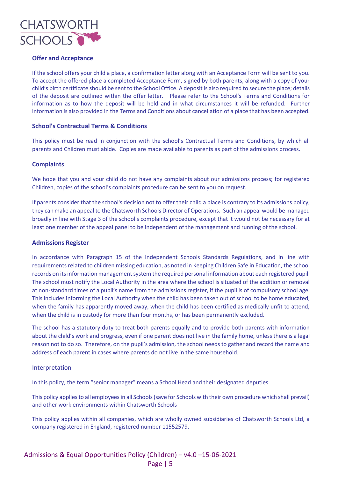

# **Offer and Acceptance**

If the school offers your child a place, a confirmation letter along with an Acceptance Form will be sent to you. To accept the offered place a completed Acceptance Form, signed by both parents, along with a copy of your child's birth certificate should be sent to the School Office. A deposit is also required to secure the place; details of the deposit are outlined within the offer letter. Please refer to the School's Terms and Conditions for information as to how the deposit will be held and in what circumstances it will be refunded. Further information is also provided in the Terms and Conditions about cancellation of a place that has been accepted.

# **School's Contractual Terms & Conditions**

This policy must be read in conjunction with the school's Contractual Terms and Conditions, by which all parents and Children must abide. Copies are made available to parents as part of the admissions process.

#### **Complaints**

We hope that you and your child do not have any complaints about our admissions process; for registered Children, copies of the school's complaints procedure can be sent to you on request.

If parents consider that the school's decision not to offer their child a place is contrary to its admissions policy, they can make an appeal to the Chatsworth Schools Director of Operations. Such an appeal would be managed broadly in line with Stage 3 of the school's complaints procedure, except that it would not be necessary for at least one member of the appeal panel to be independent of the management and running of the school.

#### **Admissions Register**

In accordance with Paragraph 15 of the Independent Schools Standards Regulations, and in line with requirements related to children missing education, as noted in Keeping Children Safe in Education, the school records on its information management system the required personal information about each registered pupil. The school must notify the Local Authority in the area where the school is situated of the addition or removal at non-standard times of a pupil's name from the admissions register, if the pupil is of compulsory school age. This includes informing the Local Authority when the child has been taken out of school to be home educated, when the family has apparently moved away, when the child has been certified as medically unfit to attend, when the child is in custody for more than four months, or has been permanently excluded.

The school has a statutory duty to treat both parents equally and to provide both parents with information about the child's work and progress, even if one parent does not live in the family home, unless there is a legal reason not to do so. Therefore, on the pupil's admission, the school needs to gather and record the name and address of each parent in cases where parents do not live in the same household.

#### Interpretation

In this policy, the term "senior manager" means a School Head and their designated deputies.

This policy applies to all employees in all Schools (save for Schools with their own procedure which shall prevail) and other work environments within Chatsworth Schools

This policy applies within all companies, which are wholly owned subsidiaries of Chatsworth Schools Ltd, a company registered in England, registered number 11552579.